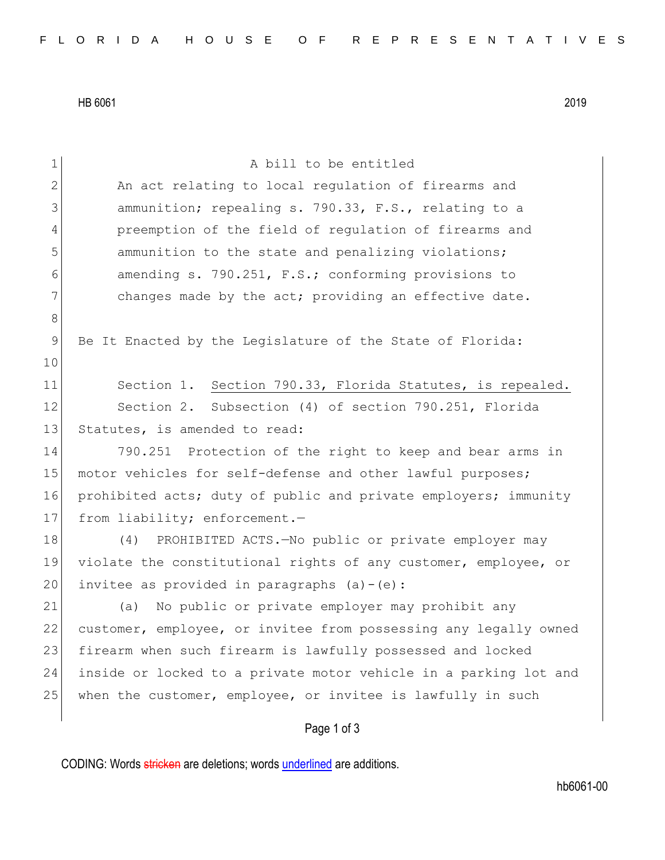HB 6061 2019

| $\mathbf 1$   | A bill to be entitled                                            |
|---------------|------------------------------------------------------------------|
| 2             | An act relating to local regulation of firearms and              |
| 3             | ammunition; repealing s. 790.33, F.S., relating to a             |
| 4             | preemption of the field of regulation of firearms and            |
| 5             | ammunition to the state and penalizing violations;               |
| 6             | amending s. 790.251, F.S.; conforming provisions to              |
| 7             | changes made by the act; providing an effective date.            |
| $\,8\,$       |                                                                  |
| $\mathcal{G}$ | Be It Enacted by the Legislature of the State of Florida:        |
| 10            |                                                                  |
| 11            | Section 1. Section 790.33, Florida Statutes, is repealed.        |
| 12            | Section 2. Subsection (4) of section 790.251, Florida            |
| 13            | Statutes, is amended to read:                                    |
| 14            | 790.251 Protection of the right to keep and bear arms in         |
| 15            | motor vehicles for self-defense and other lawful purposes;       |
| 16            | prohibited acts; duty of public and private employers; immunity  |
| 17            | from liability; enforcement.-                                    |
| 18            | (4) PROHIBITED ACTS. No public or private employer may           |
| 19            | violate the constitutional rights of any customer, employee, or  |
| 20            | invitee as provided in paragraphs $(a) - (e)$ :                  |
| 21            | No public or private employer may prohibit any<br>(a)            |
| 22            | customer, employee, or invitee from possessing any legally owned |
| 23            | firearm when such firearm is lawfully possessed and locked       |
| 24            | inside or locked to a private motor vehicle in a parking lot and |
| 25            | when the customer, employee, or invitee is lawfully in such      |
|               | Page 1 of 3                                                      |

CODING: Words stricken are deletions; words underlined are additions.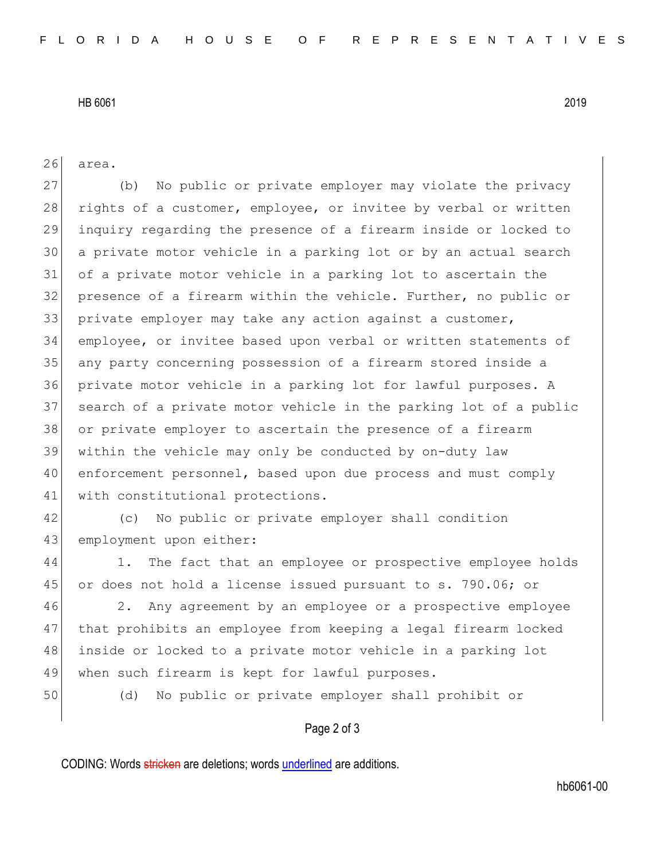## HB 6061 2019

26 area.

27 (b) No public or private employer may violate the privacy 28 rights of a customer, employee, or invitee by verbal or written inquiry regarding the presence of a firearm inside or locked to a private motor vehicle in a parking lot or by an actual search of a private motor vehicle in a parking lot to ascertain the presence of a firearm within the vehicle. Further, no public or 33 private employer may take any action against a customer, employee, or invitee based upon verbal or written statements of any party concerning possession of a firearm stored inside a private motor vehicle in a parking lot for lawful purposes. A search of a private motor vehicle in the parking lot of a public or private employer to ascertain the presence of a firearm within the vehicle may only be conducted by on-duty law enforcement personnel, based upon due process and must comply 41 with constitutional protections.

42 (c) No public or private employer shall condition 43 employment upon either:

44 1. The fact that an employee or prospective employee holds 45 or does not hold a license issued pursuant to s. 790.06; or

46 2. Any agreement by an employee or a prospective employee 47 that prohibits an employee from keeping a legal firearm locked 48 inside or locked to a private motor vehicle in a parking lot 49 when such firearm is kept for lawful purposes.

50 (d) No public or private employer shall prohibit or

## Page 2 of 3

CODING: Words stricken are deletions; words underlined are additions.